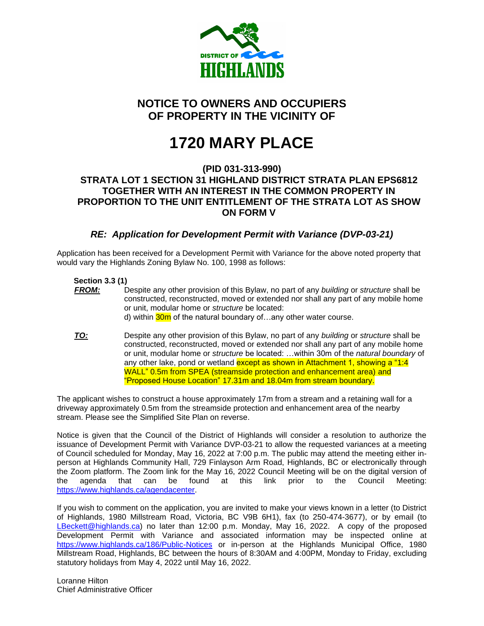

## **NOTICE TO OWNERS AND OCCUPIERS OF PROPERTY IN THE VICINITY OF**

# **1720 MARY PLACE**

#### **(PID 031-313-990) STRATA LOT 1 SECTION 31 HIGHLAND DISTRICT STRATA PLAN EPS6812 TOGETHER WITH AN INTEREST IN THE COMMON PROPERTY IN PROPORTION TO THE UNIT ENTITLEMENT OF THE STRATA LOT AS SHOW ON FORM V**

### *RE: Application for Development Permit with Variance (DVP-03-21)*

Application has been received for a Development Permit with Variance for the above noted property that would vary the Highlands Zoning Bylaw No. 100, 1998 as follows:

#### **Section 3.3 (1)**

- *FROM:* Despite any other provision of this Bylaw, no part of any *building* or *structure* shall be constructed, reconstructed, moved or extended nor shall any part of any mobile home or unit, modular home or *structure* be located: d) within 30m of the natural boundary of...any other water course.
- *TO:* Despite any other provision of this Bylaw, no part of any *building* or *structure* shall be constructed, reconstructed, moved or extended nor shall any part of any mobile home or unit, modular home or *structure* be located: …within 30m of the *natural boundary* of any other lake, pond or wetland except as shown in Attachment 1, showing a "1:4 WALL" 0.5m from SPEA (streamside protection and enhancement area) and "Proposed House Location" 17.31m and 18.04m from stream boundary.

The applicant wishes to construct a house approximately 17m from a stream and a retaining wall for a driveway approximately 0.5m from the streamside protection and enhancement area of the nearby stream. Please see the Simplified Site Plan on reverse.

Notice is given that the Council of the District of Highlands will consider a resolution to authorize the issuance of Development Permit with Variance DVP-03-21 to allow the requested variances at a meeting of Council scheduled for Monday, May 16, 2022 at 7:00 p.m. The public may attend the meeting either inperson at Highlands Community Hall, 729 Finlayson Arm Road, Highlands, BC or electronically through the Zoom platform. The Zoom link for the May 16, 2022 Council Meeting will be on the digital version of the agenda that can be found at this link prior to the Council Meeting: [https://www.highlands.ca/agendacenter.](https://www.highlands.ca/agendacenter)

If you wish to comment on the application, you are invited to make your views known in a letter (to District of Highlands, 1980 Millstream Road, Victoria, BC V9B 6H1), fax (to 250-474-3677), or by email (to [LBeckett@highlands.ca\)](mailto:LBeckett@highlands.ca) no later than 12:00 p.m. Monday, May 16, 2022. A copy of the proposed Development Permit with Variance and associated information may be inspected online at <https://www.highlands.ca/186/Public-Notices> or in-person at the Highlands Municipal Office, 1980 Millstream Road, Highlands, BC between the hours of 8:30AM and 4:00PM, Monday to Friday, excluding statutory holidays from May 4, 2022 until May 16, 2022.

Loranne Hilton Chief Administrative Officer